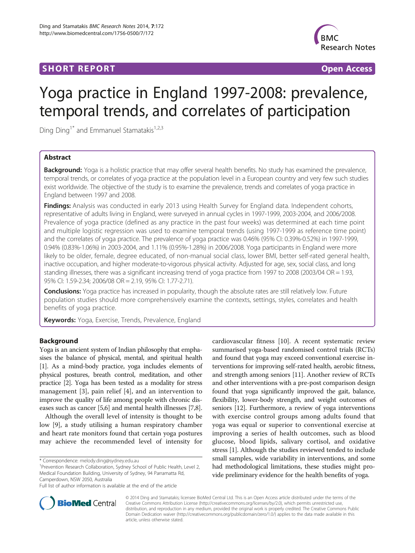# **SHORT REPORT SHORT CONSUMING THE SHORT CONSUMING THE SHORT CONSUMING THE SHORT CONSUMING THE SHORT CONSUMING THE SHORT CONSUMING THE SHORT CONSUMING THE SHORT CONSUMING THE SHORT CONSUMING THE SHORT CONSUMING THE SHORT**



# Yoga practice in England 1997-2008: prevalence, temporal trends, and correlates of participation

Ding Ding<sup>1\*</sup> and Emmanuel Stamatakis<sup>1,2,3</sup>

# Abstract

Background: Yoga is a holistic practice that may offer several health benefits. No study has examined the prevalence, temporal trends, or correlates of yoga practice at the population level in a European country and very few such studies exist worldwide. The objective of the study is to examine the prevalence, trends and correlates of yoga practice in England between 1997 and 2008.

Findings: Analysis was conducted in early 2013 using Health Survey for England data. Independent cohorts, representative of adults living in England, were surveyed in annual cycles in 1997-1999, 2003-2004, and 2006/2008. Prevalence of yoga practice (defined as any practice in the past four weeks) was determined at each time point and multiple logistic regression was used to examine temporal trends (using 1997-1999 as reference time point) and the correlates of yoga practice. The prevalence of yoga practice was 0.46% (95% CI: 0.39%-0.52%) in 1997-1999, 0.94% (0.83%-1.06%) in 2003-2004, and 1.11% (0.95%-1.28%) in 2006/2008. Yoga participants in England were more likely to be older, female, degree educated, of non-manual social class, lower BMI, better self-rated general health, inactive occupation, and higher moderate-to-vigorous physical activity. Adjusted for age, sex, social class, and long standing illnesses, there was a significant increasing trend of yoga practice from 1997 to 2008 (2003/04 OR = 1.93, 95% CI: 1.59-2.34; 2006/08 OR = 2.19, 95% CI: 1.77-2.71).

Conclusions: Yoga practice has increased in popularity, though the absolute rates are still relatively low. Future population studies should more comprehensively examine the contexts, settings, styles, correlates and health benefits of yoga practice.

Keywords: Yoga, Exercise, Trends, Prevalence, England

# Background

Yoga is an ancient system of Indian philosophy that emphasises the balance of physical, mental, and spiritual health [[1](#page-3-0)]. As a mind-body practice, yoga includes elements of physical postures, breath control, meditation, and other practice [\[2\]](#page-3-0). Yoga has been tested as a modality for stress management [\[3](#page-3-0)], pain relief [[4\]](#page-3-0), and an intervention to improve the quality of life among people with chronic diseases such as cancer [\[5,6](#page-3-0)] and mental health illnesses [\[7,8](#page-3-0)].

Although the overall level of intensity is thought to be low [[9\]](#page-3-0), a study utilising a human respiratory chamber and heart rate monitors found that certain yoga postures may achieve the recommended level of intensity for

<sup>1</sup> Prevention Research Collaboration, Sydney School of Public Health, Level 2, Medical Foundation Building, University of Sydney, 94 Parramatta Rd, Camperdown, NSW 2050, Australia

cardiovascular fitness [\[10](#page-3-0)]. A recent systematic review summarised yoga-based randomised control trials (RCTs) and found that yoga may exceed conventional exercise interventions for improving self-rated health, aerobic fitness, and strength among seniors [[11](#page-3-0)]. Another review of RCTs and other interventions with a pre-post comparison design found that yoga significantly improved the gait, balance, flexibility, lower-body strength, and weight outcomes of seniors [[12](#page-3-0)]. Furthermore, a review of yoga interventions with exercise control groups among adults found that yoga was equal or superior to conventional exercise at improving a series of health outcomes, such as blood glucose, blood lipids, salivary cortisol, and oxidative stress [\[1](#page-3-0)]. Although the studies reviewed tended to include small samples, wide variability in interventions, and some had methodological limitations, these studies might provide preliminary evidence for the health benefits of yoga.



© 2014 Ding and Stamatakis; licensee BioMed Central Ltd. This is an Open Access article distributed under the terms of the Creative Commons Attribution License (<http://creativecommons.org/licenses/by/2.0>), which permits unrestricted use, distribution, and reproduction in any medium, provided the original work is properly credited. The Creative Commons Public Domain Dedication waiver [\(http://creativecommons.org/publicdomain/zero/1.0/\)](http://creativecommons.org/publicdomain/zero/1.0/) applies to the data made available in this article, unless otherwise stated.

<sup>\*</sup> Correspondence: [melody.ding@sydney.edu.au](mailto:melody.ding@sydney.edu.au) <sup>1</sup>

Full list of author information is available at the end of the article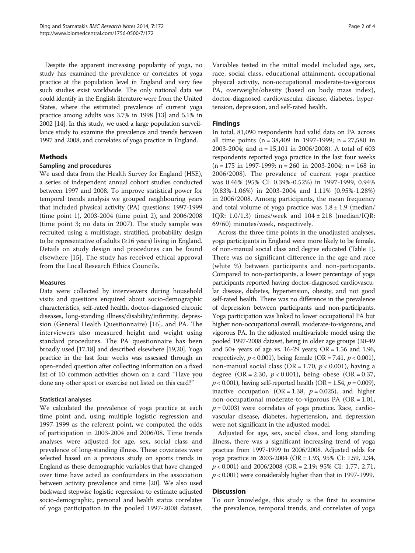Despite the apparent increasing popularity of yoga, no study has examined the prevalence or correlates of yoga practice at the population level in England and very few such studies exist worldwide. The only national data we could identify in the English literature were from the United States, where the estimated prevalence of current yoga practice among adults was 3.7% in 1998 [\[13\]](#page-3-0) and 5.1% in 2002 [\[14\]](#page-3-0). In this study, we used a large population surveillance study to examine the prevalence and trends between 1997 and 2008, and correlates of yoga practice in England.

# Methods

## Sampling and procedures

We used data from the Health Survey for England (HSE), a series of independent annual cohort studies conducted between 1997 and 2008. To improve statistical power for temporal trends analysis we grouped neighbouring years that included physical activity (PA) questions: 1997-1999 (time point 1), 2003-2004 (time point 2), and 2006/2008 (time point 3; no data in 2007). The study sample was recruited using a multistage, stratified, probability design to be representative of adults  $(\geq 16 \text{ years})$  living in England. Details on study design and procedures can be found elsewhere [[15](#page-3-0)]. The study has received ethical approval from the Local Research Ethics Councils.

## Measures

Data were collected by interviewers during household visits and questions enquired about socio-demographic characteristics, self-rated health, doctor-diagnosed chronic diseases, long-standing illness/disability/infirmity, depression (General Health Questionnaire) [\[16](#page-3-0)], and PA. The interviewers also measured height and weight using standard procedures. The PA questionnaire has been broadly used [\[17,18\]](#page-3-0) and described elsewhere [\[19,20\]](#page-3-0). Yoga practice in the last four weeks was assessed through an open-ended question after collecting information on a fixed list of 10 common activities shown on a card: "Have you done any other sport or exercise not listed on this card?"

## Statistical analyses

We calculated the prevalence of yoga practice at each time point and, using multiple logistic regression and 1997-1999 as the referent point, we computed the odds of participation in 2003-2004 and 2006/08. Time trends analyses were adjusted for age, sex, social class and prevalence of long-standing illness. These covariates were selected based on a previous study on sports trends in England as these demographic variables that have changed over time have acted as confounders in the association between activity prevalence and time [\[20\]](#page-3-0). We also used backward stepwise logistic regression to estimate adjusted socio-demographic, personal and health status correlates of yoga participation in the pooled 1997-2008 dataset. Variables tested in the initial model included age, sex, race, social class, educational attainment, occupational physical activity, non-occupational moderate-to-vigorous PA, overweight/obesity (based on body mass index), doctor-diagnosed cardiovascular disease, diabetes, hypertension, depression, and self-rated health.

# Findings

In total, 81,090 respondents had valid data on PA across all time points (n = 38,409 in 1997-1999; n = 27,580 in 2003-2004; and n = 15,101 in 2006/2008). A total of 603 respondents reported yoga practice in the last four weeks  $(n = 175$  in 1997-1999; n = 260 in 2003-2004; n = 168 in 2006/2008). The prevalence of current yoga practice was 0.46% (95% CI: 0.39%-0.52%) in 1997-1999, 0.94% (0.83%-1.06%) in 2003-2004 and 1.11% (0.95%-1.28%) in 2006/2008. Among participants, the mean frequency and total volume of yoga practice was  $1.8 \pm 1.9$  (median/ IQR: 1.0/1.3) times/week and 104 ± 218 (median/IQR: 69/60) minutes/week, respectively.

Across the three time points in the unadjusted analyses, yoga participants in England were more likely to be female, of non-manual social class and degree educated (Table [1](#page-2-0)). There was no significant difference in the age and race (white %) between participants and non-participants. Compared to non-participants, a lower percentage of yoga participants reported having doctor-diagnosed cardiovascular disease, diabetes, hypertension, obesity, and not good self-rated health. There was no difference in the prevalence of depression between participants and non-participants. Yoga participation was linked to lower occupational PA but higher non-occupational overall, moderate-to-vigorous, and vigorous PA. In the adjusted multivariable model using the pooled 1997-2008 dataset, being in older age groups (30-49 and  $50+$  years of age vs. 16-29 years;  $OR = 1.56$  and 1.96, respectively,  $p < 0.001$ ), being female (OR = 7.41,  $p < 0.001$ ), non-manual social class (OR = 1.70,  $p < 0.001$ ), having a degree (OR = 2.30,  $p < 0.001$ ), being obese (OR = 0.37,  $p < 0.001$ ), having self-reported health (OR = 1.54,  $p = 0.009$ ), inactive occupation (OR = 1.38,  $p = 0.025$ ), and higher non-occupational moderate-to-vigorous PA ( $OR = 1.01$ ,  $p = 0.003$ ) were correlates of yoga practice. Race, cardiovascular disease, diabetes, hypertension, and depression were not significant in the adjusted model.

Adjusted for age, sex, social class, and long standing illness, there was a significant increasing trend of yoga practice from 1997-1999 to 2006/2008. Adjusted odds for yoga practice in 2003-2004 (OR = 1.93, 95% CI: 1.59, 2.34, p < 0.001) and 2006/2008 (OR = 2.19; 95% CI: 1.77, 2.71,  $p < 0.001$ ) were considerably higher than that in 1997-1999.

## **Discussion**

To our knowledge, this study is the first to examine the prevalence, temporal trends, and correlates of yoga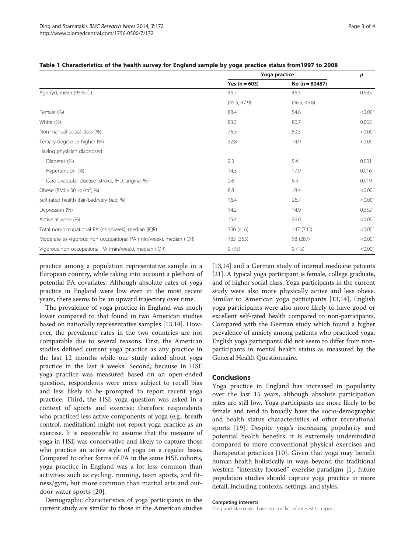|                                                                   | Yoga practice   |                  | p       |
|-------------------------------------------------------------------|-----------------|------------------|---------|
|                                                                   | Yes $(n = 603)$ | No $(n = 80487)$ |         |
| Age (yr), mean (95% CI)                                           | 46.7            | 46.5             | 0.935   |
|                                                                   | (45.5, 47.9)    | (46.5, 46.8)     |         |
| Female (%)                                                        | 88.4            | 54.8             | < 0.001 |
| White (%)                                                         | 83.3            | 80.7             | 0.065   |
| Non-manual social class (%)                                       | 76.3            | 50.5             | < 0.001 |
| Tertiary degree or higher (%)                                     | 32.8            | 14.9             | < 0.001 |
| Having physician diagnosed                                        |                 |                  |         |
| Diabetes (%)                                                      | 2.3             | 5.4              | 0.001   |
| Hypertension (%)                                                  | 14.3            | 17.9             | 0.016   |
| Cardiovascular disease (stroke, IHD, angina; %)                   | 2.6             | 6.4              | 0.019   |
| Obese (BMI > 30 kg/m <sup>2</sup> ; %)                            | 8.8             | 18.4             | < 0.001 |
| Self-rated health (fair/bad/very bad; %)                          | 16.4            | 26.7             | < 0.001 |
| Depression (%)                                                    | 14.2            | 14.9             | 0.352   |
| Active at work (%)                                                | 15.4            | 26.0             | < 0.001 |
| Total non-occupational PA (min/week), median (IQR)                | 300 (416)       | 147 (343)        | < 0.001 |
| Moderate-to-vigorous non-occupational PA (min/week), median (IQR) | 185 (355)       | 98 (287)         | < 0.001 |
| Vigorous non-occupational PA (min/week), median (IQR)             | 0(75)           | 0(15)            | < 0.001 |

#### <span id="page-2-0"></span>Table 1 Characteristics of the health survey for England sample by yoga practice status from1997 to 2008

practice among a population representative sample in a European country, while taking into account a plethora of potential PA covariates. Although absolute rates of yoga practice in England were low even in the most recent years, there seems to be an upward trajectory over time.

The prevalence of yoga practice in England was much lower compared to that found in two American studies based on nationally representative samples [\[13,14](#page-3-0)]. However, the prevalence rates in the two countries are not comparable due to several reasons. First, the American studies defined current yoga practice as any practice in the last 12 months while our study asked about yoga practice in the last 4 weeks. Second, because in HSE yoga practice was measured based on an open-ended question, respondents were more subject to recall bias and less likely to be prompted to report recent yoga practice. Third, the HSE yoga question was asked in a context of sports and exercise; therefore respondents who practiced less active components of yoga (e.g., breath control, meditation) might not report yoga practice as an exercise. It is reasonable to assume that the measure of yoga in HSE was conservative and likely to capture those who practice an active style of yoga on a regular basis. Compared to other forms of PA in the same HSE cohorts, yoga practice in England was a lot less common than activities such as cycling, running, team sports, and fitness/gym, but more common than martial arts and outdoor water sports [[20\]](#page-3-0).

Demographic characteristics of yoga participants in the current study are similar to those in the American studies

[[13,14](#page-3-0)] and a German study of internal medicine patients [[21](#page-3-0)]. A typical yoga participant is female, college graduate, and of higher social class. Yoga participants in the current study were also more physically active and less obese. Similar to American yoga participants [\[13,14](#page-3-0)], English yoga participants were also more likely to have good or excellent self-rated health compared to non-participants. Compared with the German study which found a higher prevalence of anxiety among patients who practiced yoga, English yoga participants did not seem to differ from nonparticipants in mental health status as measured by the General Health Questionnaire.

## Conclusions

Yoga practice in England has increased in popularity over the last 15 years, although absolute participation rates are still low. Yoga participants are more likely to be female and tend to broadly have the socio-demographic and health status characteristics of other recreational sports [[19](#page-3-0)]. Despite yoga's increasing popularity and potential health benefits, it is extremely understudied compared to more conventional physical exercises and therapeutic practices [\[10](#page-3-0)]. Given that yoga may benefit human health holistically in ways beyond the traditional western "intensity-focused" exercise paradigm [\[1\]](#page-3-0), future population studies should capture yoga practice in more detail, including contexts, settings, and styles.

#### Competing interests

Ding and Stamatakis have no conflict of interest to report.